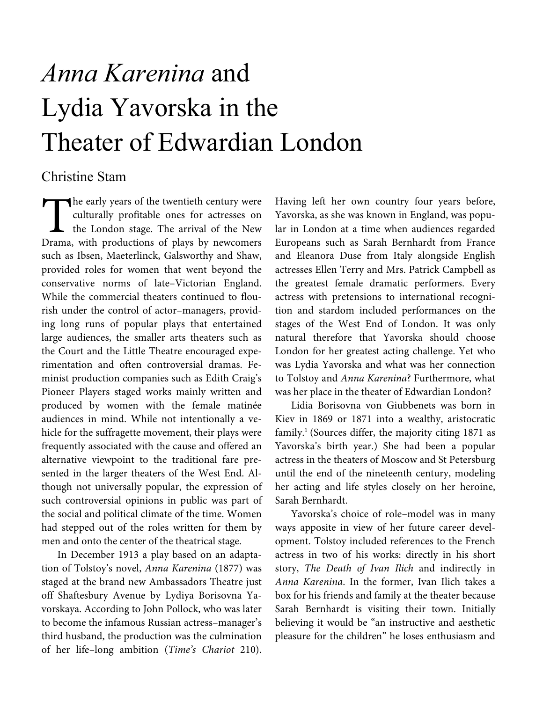# *Anna Karenina* and Lydia Yavorska in the Theater of Edwardian London

# Christine Stam

he early years of the twentieth century were culturally profitable ones for actresses on the London stage. The arrival of the New Drama, with productions of plays by newcomers such as Ibsen, Maeterlinck, Galsworthy and Shaw, provided roles for women that went beyond the conservative norms of late–Victorian England. While the commercial theaters continued to flourish under the control of actor–managers, providing long runs of popular plays that entertained large audiences, the smaller arts theaters such as the Court and the Little Theatre encouraged experimentation and often controversial dramas. Feminist production companies such as Edith Craig's Pioneer Players staged works mainly written and produced by women with the female matinée audiences in mind. While not intentionally a vehicle for the suffragette movement, their plays were frequently associated with the cause and offered an alternative viewpoint to the traditional fare presented in the larger theaters of the West End. Although not universally popular, the expression of such controversial opinions in public was part of the social and political climate of the time. Women had stepped out of the roles written for them by men and onto the center of the theatrical stage. The cul

In December 1913 a play based on an adaptation of Tolstoy's novel, Anna Karenina (1877) was staged at the brand new Ambassadors Theatre just off Shaftesbury Avenue by Lydiya Borisovna Yavorskaya. According to John Pollock, who was later to become the infamous Russian actress–manager's third husband, the production was the culmination of her life–long ambition (Time's Chariot 210).

Having left her own country four years before, Yavorska, as she was known in England, was popular in London at a time when audiences regarded Europeans such as Sarah Bernhardt from France and Eleanora Duse from Italy alongside English actresses Ellen Terry and Mrs. Patrick Campbell as the greatest female dramatic performers. Every actress with pretensions to international recognition and stardom included performances on the stages of the West End of London. It was only natural therefore that Yavorska should choose London for her greatest acting challenge. Yet who was Lydia Yavorska and what was her connection to Tolstoy and Anna Karenina? Furthermore, what was her place in the theater of Edwardian London?

Lidia Borisovna von Giubbenets was born in Kiev in 1869 or 1871 into a wealthy, aristocratic family.<sup>1</sup> (Sources differ, the majority citing 1871 as Yavorska's birth year.) She had been a popular actress in the theaters of Moscow and St Petersburg until the end of the nineteenth century, modeling her acting and life styles closely on her heroine, Sarah Bernhardt.

Yavorska's choice of role–model was in many ways apposite in view of her future career development. Tolstoy included references to the French actress in two of his works: directly in his short story, The Death of Ivan Ilich and indirectly in Anna Karenina. In the former, Ivan Ilich takes a box for his friends and family at the theater because Sarah Bernhardt is visiting their town. Initially believing it would be "an instructive and aesthetic pleasure for the children" he loses enthusiasm and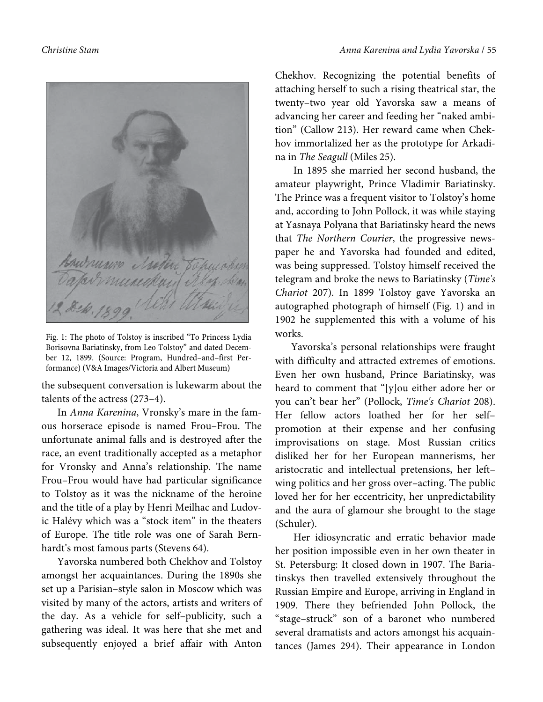

Fig. 1: The photo of Tolstoy is inscribed "To Princess Lydia Borisovna Bariatinsky, from Leo Tolstoy" and dated December 12, 1899. (Source: Program, Hundred–and–first Performance) (V&A Images/Victoria and Albert Museum)

the subsequent conversation is lukewarm about the talents of the actress (273–4).

In Anna Karenina, Vronsky's mare in the famous horserace episode is named Frou–Frou. The unfortunate animal falls and is destroyed after the race, an event traditionally accepted as a metaphor for Vronsky and Anna's relationship. The name Frou–Frou would have had particular significance to Tolstoy as it was the nickname of the heroine and the title of a play by Henri Meilhac and Ludovic Halévy which was a "stock item" in the theaters of Europe. The title role was one of Sarah Bernhardt's most famous parts (Stevens 64).

Yavorska numbered both Chekhov and Tolstoy amongst her acquaintances. During the 1890s she set up a Parisian–style salon in Moscow which was visited by many of the actors, artists and writers of the day. As a vehicle for self–publicity, such a gathering was ideal. It was here that she met and subsequently enjoyed a brief affair with Anton

Chekhov. Recognizing the potential benefits of attaching herself to such a rising theatrical star, the twenty–two year old Yavorska saw a means of advancing her career and feeding her "naked ambition" (Callow 213). Her reward came when Chekhov immortalized her as the prototype for Arkadina in The Seagull (Miles 25).

 In 1895 she married her second husband, the amateur playwright, Prince Vladimir Bariatinsky. The Prince was a frequent visitor to Tolstoy's home and, according to John Pollock, it was while staying at Yasnaya Polyana that Bariatinsky heard the news that The Northern Courier, the progressive newspaper he and Yavorska had founded and edited, was being suppressed. Tolstoy himself received the telegram and broke the news to Bariatinsky (Time's Chariot 207). In 1899 Tolstoy gave Yavorska an autographed photograph of himself (Fig. 1) and in 1902 he supplemented this with a volume of his works.

Yavorska's personal relationships were fraught with difficulty and attracted extremes of emotions. Even her own husband, Prince Bariatinsky, was heard to comment that "[y]ou either adore her or you can't bear her" (Pollock, Time's Chariot 208). Her fellow actors loathed her for her self– promotion at their expense and her confusing improvisations on stage. Most Russian critics disliked her for her European mannerisms, her aristocratic and intellectual pretensions, her left– wing politics and her gross over–acting. The public loved her for her eccentricity, her unpredictability and the aura of glamour she brought to the stage (Schuler).

Her idiosyncratic and erratic behavior made her position impossible even in her own theater in St. Petersburg: It closed down in 1907. The Bariatinskys then travelled extensively throughout the Russian Empire and Europe, arriving in England in 1909. There they befriended John Pollock, the "stage–struck" son of a baronet who numbered several dramatists and actors amongst his acquaintances (James 294). Their appearance in London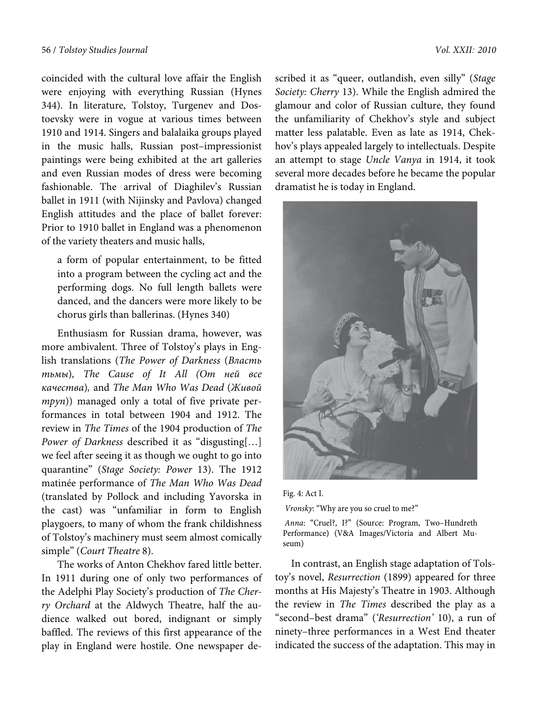coincided with the cultural love affair the English were enjoying with everything Russian (Hynes 344). In literature, Tolstoy, Turgenev and Dostoevsky were in vogue at various times between 1910 and 1914. Singers and balalaika groups played in the music halls, Russian post–impressionist paintings were being exhibited at the art galleries and even Russian modes of dress were becoming fashionable. The arrival of Diaghilev's Russian ballet in 1911 (with Nijinsky and Pavlova) changed English attitudes and the place of ballet forever: Prior to 1910 ballet in England was a phenomenon of the variety theaters and music halls,

a form of popular entertainment, to be fitted into a program between the cycling act and the performing dogs. No full length ballets were danced, and the dancers were more likely to be chorus girls than ballerinas. (Hynes 340)

Enthusiasm for Russian drama, however, was more ambivalent. Three of Tolstoy's plays in English translations (The Power of Darkness (Власть тьмы), The Cause of It All (От ней все качества), and The Man Who Was Dead (Живой mpyn)) managed only a total of five private performances in total between 1904 and 1912. The review in The Times of the 1904 production of The Power of Darkness described it as "disgusting[…] we feel after seeing it as though we ought to go into quarantine" (Stage Society: Power 13). The 1912 matinée performance of The Man Who Was Dead (translated by Pollock and including Yavorska in the cast) was "unfamiliar in form to English playgoers, to many of whom the frank childishness of Tolstoy's machinery must seem almost comically simple" (Court Theatre 8).

The works of Anton Chekhov fared little better. In 1911 during one of only two performances of the Adelphi Play Society's production of The Cherry Orchard at the Aldwych Theatre, half the audience walked out bored, indignant or simply baffled. The reviews of this first appearance of the play in England were hostile. One newspaper described it as "queer, outlandish, even silly" (Stage Society: Cherry 13). While the English admired the glamour and color of Russian culture, they found the unfamiliarity of Chekhov's style and subject matter less palatable. Even as late as 1914, Chekhov's plays appealed largely to intellectuals. Despite an attempt to stage Uncle Vanya in 1914, it took several more decades before he became the popular dramatist he is today in England.



Fig. 4: Act I. *Vronsky*: "Why are you so cruel to me?"

*Anna*: "Cruel?, I?" (Source: Program, Two–Hundreth Performance) (V&A Images/Victoria and Albert Museum)

In contrast, an English stage adaptation of Tolstoy's novel, Resurrection (1899) appeared for three months at His Majesty's Theatre in 1903. Although the review in The Times described the play as a "second–best drama" ('Resurrection' 10), a run of ninety–three performances in a West End theater indicated the success of the adaptation. This may in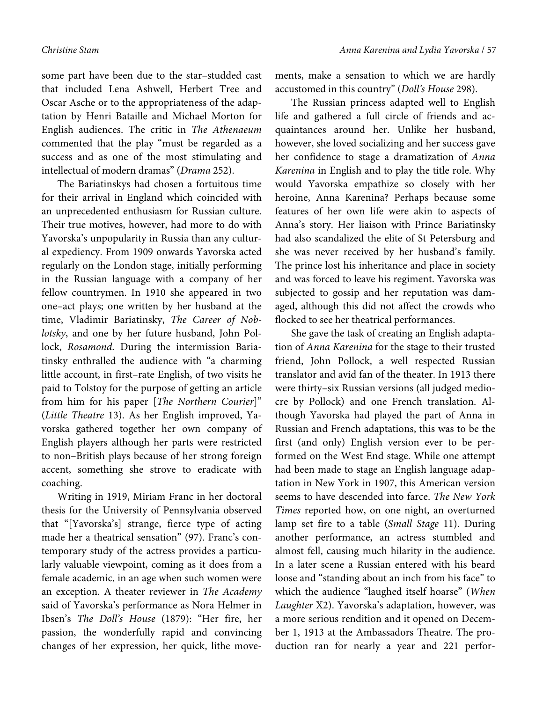some part have been due to the star–studded cast that included Lena Ashwell, Herbert Tree and Oscar Asche or to the appropriateness of the adaptation by Henri Bataille and Michael Morton for English audiences. The critic in The Athenaeum commented that the play "must be regarded as a success and as one of the most stimulating and intellectual of modern dramas" (Drama 252).

The Bariatinskys had chosen a fortuitous time for their arrival in England which coincided with an unprecedented enthusiasm for Russian culture. Their true motives, however, had more to do with Yavorska's unpopularity in Russia than any cultural expediency. From 1909 onwards Yavorska acted regularly on the London stage, initially performing in the Russian language with a company of her fellow countrymen. In 1910 she appeared in two one–act plays; one written by her husband at the time, Vladimir Bariatinsky, The Career of Noblotsky, and one by her future husband, John Pollock, Rosamond. During the intermission Bariatinsky enthralled the audience with "a charming little account, in first–rate English, of two visits he paid to Tolstoy for the purpose of getting an article from him for his paper [The Northern Courier]" (Little Theatre 13). As her English improved, Yavorska gathered together her own company of English players although her parts were restricted to non–British plays because of her strong foreign accent, something she strove to eradicate with coaching.

Writing in 1919, Miriam Franc in her doctoral thesis for the University of Pennsylvania observed that "[Yavorska's] strange, fierce type of acting made her a theatrical sensation" (97). Franc's contemporary study of the actress provides a particularly valuable viewpoint, coming as it does from a female academic, in an age when such women were an exception. A theater reviewer in The Academy said of Yavorska's performance as Nora Helmer in Ibsen's The Doll's House (1879): "Her fire, her passion, the wonderfully rapid and convincing changes of her expression, her quick, lithe movements, make a sensation to which we are hardly accustomed in this country" (Doll's House 298).

The Russian princess adapted well to English life and gathered a full circle of friends and acquaintances around her. Unlike her husband, however, she loved socializing and her success gave her confidence to stage a dramatization of Anna Karenina in English and to play the title role. Why would Yavorska empathize so closely with her heroine, Anna Karenina? Perhaps because some features of her own life were akin to aspects of Anna's story. Her liaison with Prince Bariatinsky had also scandalized the elite of St Petersburg and she was never received by her husband's family. The prince lost his inheritance and place in society and was forced to leave his regiment. Yavorska was subjected to gossip and her reputation was damaged, although this did not affect the crowds who flocked to see her theatrical performances.

She gave the task of creating an English adaptation of Anna Karenina for the stage to their trusted friend, John Pollock, a well respected Russian translator and avid fan of the theater. In 1913 there were thirty–six Russian versions (all judged mediocre by Pollock) and one French translation. Although Yavorska had played the part of Anna in Russian and French adaptations, this was to be the first (and only) English version ever to be performed on the West End stage. While one attempt had been made to stage an English language adaptation in New York in 1907, this American version seems to have descended into farce. The New York Times reported how, on one night, an overturned lamp set fire to a table (Small Stage 11). During another performance, an actress stumbled and almost fell, causing much hilarity in the audience. In a later scene a Russian entered with his beard loose and "standing about an inch from his face" to which the audience "laughed itself hoarse" (When Laughter X2). Yavorska's adaptation, however, was a more serious rendition and it opened on December 1, 1913 at the Ambassadors Theatre. The production ran for nearly a year and 221 perfor-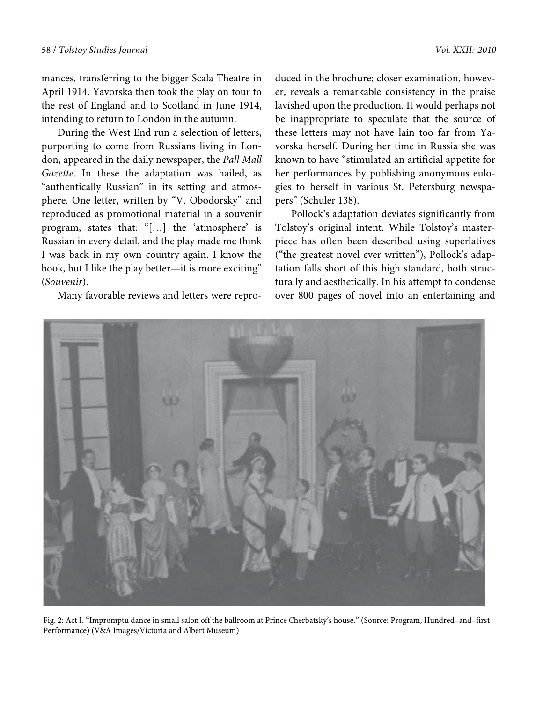mances, transferring to the bigger Scala Theatre in April 1914. Yavorska then took the play on tour to the rest of England and to Scotland in June 1914, intending to return to London in the autumn.

During the West End run a selection of letters, purporting to come from Russians living in London, appeared in the daily newspaper, the Pall Mall Gazette. In these the adaptation was hailed, as "authentically Russian" in its setting and atmosphere. One letter, written by "V. Obodorsky" and reproduced as promotional material in a souvenir program, states that: "[…] the 'atmosphere' is Russian in every detail, and the play made me think I was back in my own country again. I know the book, but I like the play better—it is more exciting" (Souvenir).

Many favorable reviews and letters were repro-

duced in the brochure; closer examination, however, reveals a remarkable consistency in the praise lavished upon the production. It would perhaps not be inappropriate to speculate that the source of these letters may not have lain too far from Yavorska herself. During her time in Russia she was known to have "stimulated an artificial appetite for her performances by publishing anonymous eulogies to herself in various St. Petersburg newspapers" (Schuler 138).

Pollock's adaptation deviates significantly from Tolstoy's original intent. While Tolstoy's masterpiece has often been described using superlatives ("the greatest novel ever written"), Pollock's adaptation falls short of this high standard, both structurally and aesthetically. In his attempt to condense over 800 pages of novel into an entertaining and



Fig. 2: Act I. "Impromptu dance in small salon off the ballroom at Prince Cherbatsky's house." (Source: Program, Hundred–and–first Performance) (V&A Images/Victoria and Albert Museum)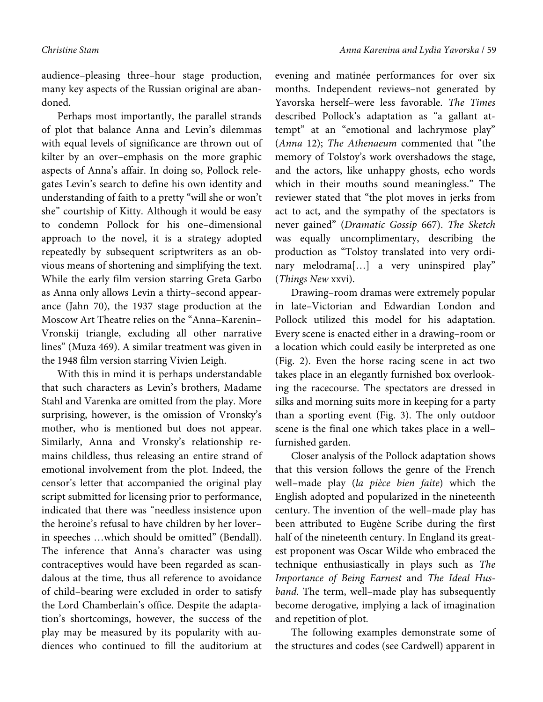audience–pleasing three–hour stage production, many key aspects of the Russian original are abandoned.

Perhaps most importantly, the parallel strands of plot that balance Anna and Levin's dilemmas with equal levels of significance are thrown out of kilter by an over–emphasis on the more graphic aspects of Anna's affair. In doing so, Pollock relegates Levin's search to define his own identity and understanding of faith to a pretty "will she or won't she" courtship of Kitty. Although it would be easy to condemn Pollock for his one–dimensional approach to the novel, it is a strategy adopted repeatedly by subsequent scriptwriters as an obvious means of shortening and simplifying the text. While the early film version starring Greta Garbo as Anna only allows Levin a thirty–second appearance (Jahn 70), the 1937 stage production at the Moscow Art Theatre relies on the "Anna–Karenin– Vronskij triangle, excluding all other narrative lines" (Muza 469). A similar treatment was given in the 1948 film version starring Vivien Leigh.

With this in mind it is perhaps understandable that such characters as Levin's brothers, Madame Stahl and Varenka are omitted from the play. More surprising, however, is the omission of Vronsky's mother, who is mentioned but does not appear. Similarly, Anna and Vronsky's relationship remains childless, thus releasing an entire strand of emotional involvement from the plot. Indeed, the censor's letter that accompanied the original play script submitted for licensing prior to performance, indicated that there was "needless insistence upon the heroine's refusal to have children by her lover– in speeches …which should be omitted" (Bendall). The inference that Anna's character was using contraceptives would have been regarded as scandalous at the time, thus all reference to avoidance of child–bearing were excluded in order to satisfy the Lord Chamberlain's office. Despite the adaptation's shortcomings, however, the success of the play may be measured by its popularity with audiences who continued to fill the auditorium at evening and matinée performances for over six months. Independent reviews–not generated by Yavorska herself–were less favorable. The Times described Pollock's adaptation as "a gallant attempt" at an "emotional and lachrymose play" (Anna 12); The Athenaeum commented that "the memory of Tolstoy's work overshadows the stage, and the actors, like unhappy ghosts, echo words which in their mouths sound meaningless." The reviewer stated that "the plot moves in jerks from act to act, and the sympathy of the spectators is never gained" (Dramatic Gossip 667). The Sketch was equally uncomplimentary, describing the production as "Tolstoy translated into very ordinary melodrama[…] a very uninspired play" (Things New xxvi).

Drawing–room dramas were extremely popular in late–Victorian and Edwardian London and Pollock utilized this model for his adaptation. Every scene is enacted either in a drawing–room or a location which could easily be interpreted as one (Fig. 2). Even the horse racing scene in act two takes place in an elegantly furnished box overlooking the racecourse. The spectators are dressed in silks and morning suits more in keeping for a party than a sporting event (Fig. 3). The only outdoor scene is the final one which takes place in a well– furnished garden.

Closer analysis of the Pollock adaptation shows that this version follows the genre of the French well–made play (la pièce bien faite) which the English adopted and popularized in the nineteenth century. The invention of the well–made play has been attributed to Eugène Scribe during the first half of the nineteenth century. In England its greatest proponent was Oscar Wilde who embraced the technique enthusiastically in plays such as The Importance of Being Earnest and The Ideal Husband. The term, well–made play has subsequently become derogative, implying a lack of imagination and repetition of plot.

The following examples demonstrate some of the structures and codes (see Cardwell) apparent in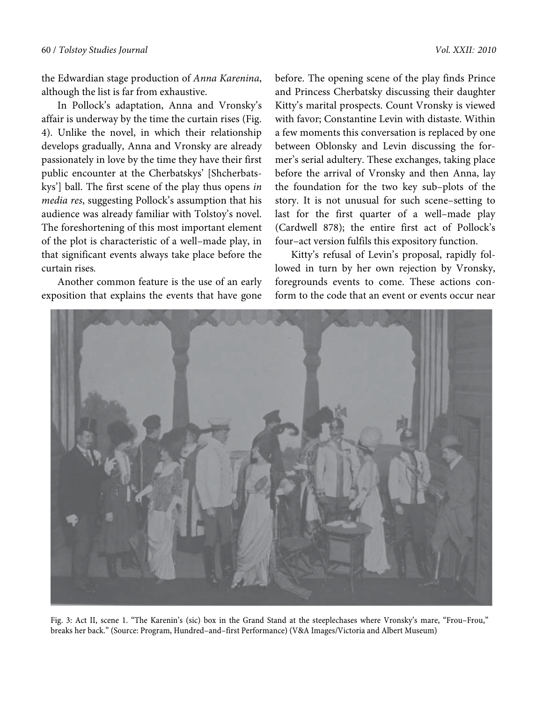the Edwardian stage production of Anna Karenina, although the list is far from exhaustive.

In Pollock's adaptation, Anna and Vronsky's affair is underway by the time the curtain rises (Fig. 4). Unlike the novel, in which their relationship develops gradually, Anna and Vronsky are already passionately in love by the time they have their first public encounter at the Cherbatskys' [Shcherbatskys'] ball. The first scene of the play thus opens in media res, suggesting Pollock's assumption that his audience was already familiar with Tolstoy's novel. The foreshortening of this most important element of the plot is characteristic of a well–made play, in that significant events always take place before the curtain rises.

Another common feature is the use of an early exposition that explains the events that have gone

before. The opening scene of the play finds Prince and Princess Cherbatsky discussing their daughter Kitty's marital prospects. Count Vronsky is viewed with favor; Constantine Levin with distaste. Within a few moments this conversation is replaced by one between Oblonsky and Levin discussing the former's serial adultery. These exchanges, taking place before the arrival of Vronsky and then Anna, lay the foundation for the two key sub–plots of the story. It is not unusual for such scene–setting to last for the first quarter of a well–made play (Cardwell 878); the entire first act of Pollock's four–act version fulfils this expository function.

Kitty's refusal of Levin's proposal, rapidly followed in turn by her own rejection by Vronsky, foregrounds events to come. These actions conform to the code that an event or events occur near



Fig. 3: Act II, scene 1. "The Karenin's (sic) box in the Grand Stand at the steeplechases where Vronsky's mare, "Frou–Frou," breaks her back." (Source: Program, Hundred–and–first Performance) (V&A Images/Victoria and Albert Museum)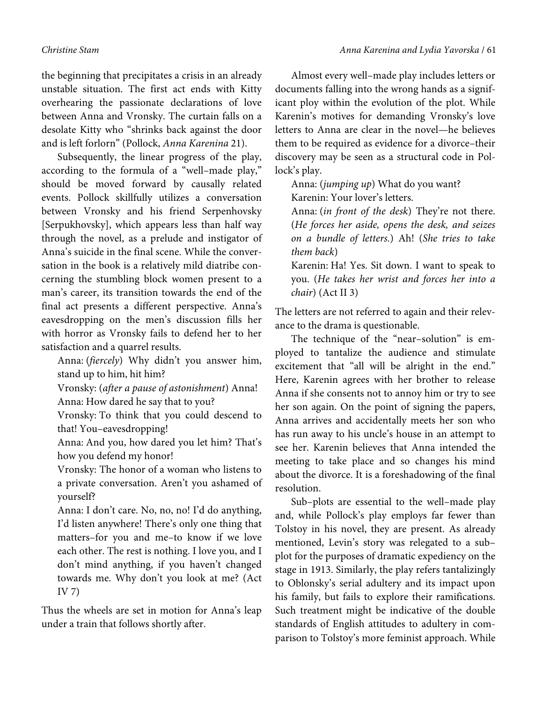the beginning that precipitates a crisis in an already unstable situation. The first act ends with Kitty overhearing the passionate declarations of love between Anna and Vronsky. The curtain falls on a desolate Kitty who "shrinks back against the door and is left forlorn" (Pollock, Anna Karenina 21).

Subsequently, the linear progress of the play, according to the formula of a "well–made play," should be moved forward by causally related events. Pollock skillfully utilizes a conversation between Vronsky and his friend Serpenhovsky [Serpukhovsky], which appears less than half way through the novel, as a prelude and instigator of Anna's suicide in the final scene. While the conversation in the book is a relatively mild diatribe concerning the stumbling block women present to a man's career, its transition towards the end of the final act presents a different perspective. Anna's eavesdropping on the men's discussion fills her with horror as Vronsky fails to defend her to her satisfaction and a quarrel results.

Anna: (fiercely) Why didn't you answer him, stand up to him, hit him?

Vronsky: (after a pause of astonishment) Anna! Anna: How dared he say that to you?

Vronsky: To think that you could descend to that! You–eavesdropping!

Anna: And you, how dared you let him? That's how you defend my honor!

Vronsky: The honor of a woman who listens to a private conversation. Aren't you ashamed of yourself?

Anna: I don't care. No, no, no! I'd do anything, I'd listen anywhere! There's only one thing that matters–for you and me–to know if we love each other. The rest is nothing. I love you, and I don't mind anything, if you haven't changed towards me. Why don't you look at me? (Act IV 7)

Thus the wheels are set in motion for Anna's leap under a train that follows shortly after.

Almost every well–made play includes letters or documents falling into the wrong hands as a significant ploy within the evolution of the plot. While Karenin's motives for demanding Vronsky's love letters to Anna are clear in the novel—he believes them to be required as evidence for a divorce–their discovery may be seen as a structural code in Pollock's play.

Anna: (jumping up) What do you want? Karenin: Your lover's letters.

Anna: (in front of the desk) They're not there. (He forces her aside, opens the desk, and seizes on a bundle of letters.) Ah! (She tries to take them back)

Karenin: Ha! Yes. Sit down. I want to speak to you. (He takes her wrist and forces her into a chair) (Act II 3)

The letters are not referred to again and their relevance to the drama is questionable.

The technique of the "near–solution" is employed to tantalize the audience and stimulate excitement that "all will be alright in the end." Here, Karenin agrees with her brother to release Anna if she consents not to annoy him or try to see her son again. On the point of signing the papers, Anna arrives and accidentally meets her son who has run away to his uncle's house in an attempt to see her. Karenin believes that Anna intended the meeting to take place and so changes his mind about the divorce. It is a foreshadowing of the final resolution.

Sub–plots are essential to the well–made play and, while Pollock's play employs far fewer than Tolstoy in his novel, they are present. As already mentioned, Levin's story was relegated to a sub– plot for the purposes of dramatic expediency on the stage in 1913. Similarly, the play refers tantalizingly to Oblonsky's serial adultery and its impact upon his family, but fails to explore their ramifications. Such treatment might be indicative of the double standards of English attitudes to adultery in comparison to Tolstoy's more feminist approach. While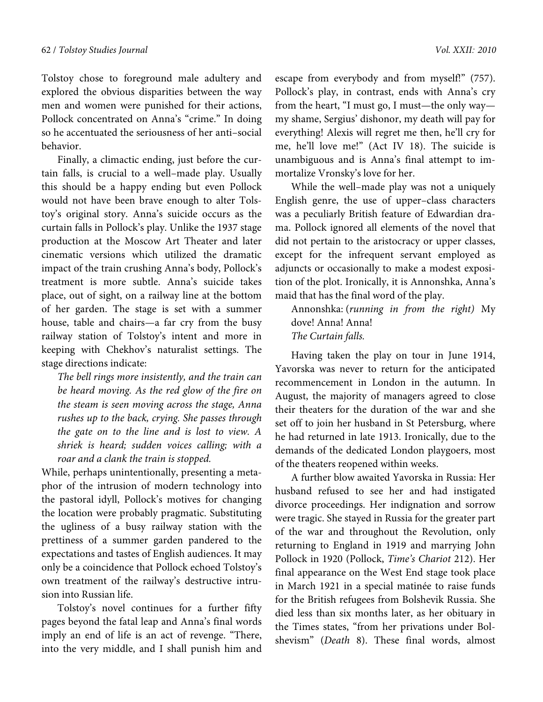Tolstoy chose to foreground male adultery and explored the obvious disparities between the way men and women were punished for their actions, Pollock concentrated on Anna's "crime." In doing so he accentuated the seriousness of her anti–social behavior.

Finally, a climactic ending, just before the curtain falls, is crucial to a well–made play. Usually this should be a happy ending but even Pollock would not have been brave enough to alter Tolstoy's original story. Anna's suicide occurs as the curtain falls in Pollock's play. Unlike the 1937 stage production at the Moscow Art Theater and later cinematic versions which utilized the dramatic impact of the train crushing Anna's body, Pollock's treatment is more subtle. Anna's suicide takes place, out of sight, on a railway line at the bottom of her garden. The stage is set with a summer house, table and chairs—a far cry from the busy railway station of Tolstoy's intent and more in keeping with Chekhov's naturalist settings. The stage directions indicate:

The bell rings more insistently, and the train can be heard moving. As the red glow of the fire on the steam is seen moving across the stage, Anna rushes up to the back, crying. She passes through the gate on to the line and is lost to view. A shriek is heard; sudden voices calling; with a roar and a clank the train is stopped.

While, perhaps unintentionally, presenting a metaphor of the intrusion of modern technology into the pastoral idyll, Pollock's motives for changing the location were probably pragmatic. Substituting the ugliness of a busy railway station with the prettiness of a summer garden pandered to the expectations and tastes of English audiences. It may only be a coincidence that Pollock echoed Tolstoy's own treatment of the railway's destructive intrusion into Russian life.

Tolstoy's novel continues for a further fifty pages beyond the fatal leap and Anna's final words imply an end of life is an act of revenge. "There, into the very middle, and I shall punish him and

escape from everybody and from myself!" (757). Pollock's play, in contrast, ends with Anna's cry from the heart, "I must go, I must—the only way my shame, Sergius' dishonor, my death will pay for everything! Alexis will regret me then, he'll cry for me, he'll love me!" (Act IV 18). The suicide is unambiguous and is Anna's final attempt to immortalize Vronsky's love for her.

While the well–made play was not a uniquely English genre, the use of upper–class characters was a peculiarly British feature of Edwardian drama. Pollock ignored all elements of the novel that did not pertain to the aristocracy or upper classes, except for the infrequent servant employed as adjuncts or occasionally to make a modest exposition of the plot. Ironically, it is Annonshka, Anna's maid that has the final word of the play.

Annonshka: (running in from the right) My dove! Anna! Anna! The Curtain falls.

Having taken the play on tour in June 1914, Yavorska was never to return for the anticipated recommencement in London in the autumn. In August, the majority of managers agreed to close their theaters for the duration of the war and she set off to join her husband in St Petersburg, where he had returned in late 1913. Ironically, due to the demands of the dedicated London playgoers, most of the theaters reopened within weeks.

A further blow awaited Yavorska in Russia: Her husband refused to see her and had instigated divorce proceedings. Her indignation and sorrow were tragic. She stayed in Russia for the greater part of the war and throughout the Revolution, only returning to England in 1919 and marrying John Pollock in 1920 (Pollock, Time's Chariot 212). Her final appearance on the West End stage took place in March 1921 in a special matinée to raise funds for the British refugees from Bolshevik Russia. She died less than six months later, as her obituary in the Times states, "from her privations under Bolshevism" (Death 8). These final words, almost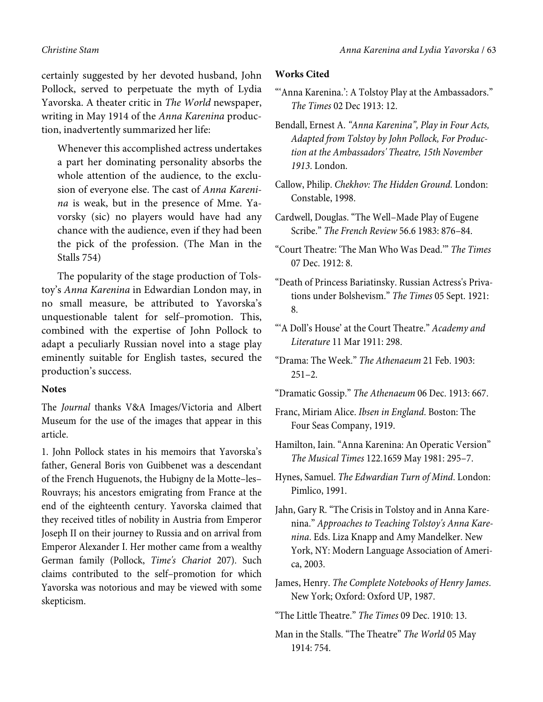certainly suggested by her devoted husband, John Pollock, served to perpetuate the myth of Lydia Yavorska. A theater critic in The World newspaper, writing in May 1914 of the Anna Karenina production, inadvertently summarized her life:

Whenever this accomplished actress undertakes a part her dominating personality absorbs the whole attention of the audience, to the exclusion of everyone else. The cast of Anna Karenina is weak, but in the presence of Mme. Yavorsky (sic) no players would have had any chance with the audience, even if they had been the pick of the profession. (The Man in the Stalls 754)

The popularity of the stage production of Tolstoy's Anna Karenina in Edwardian London may, in no small measure, be attributed to Yavorska's unquestionable talent for self–promotion. This, combined with the expertise of John Pollock to adapt a peculiarly Russian novel into a stage play eminently suitable for English tastes, secured the production's success.

### **Notes**

The *Journal* thanks V&A Images/Victoria and Albert Museum for the use of the images that appear in this article.

1. John Pollock states in his memoirs that Yavorska's father, General Boris von Guibbenet was a descendant of the French Huguenots, the Hubigny de la Motte–les– Rouvrays; his ancestors emigrating from France at the end of the eighteenth century. Yavorska claimed that they received titles of nobility in Austria from Emperor Joseph II on their journey to Russia and on arrival from Emperor Alexander I. Her mother came from a wealthy German family (Pollock, *Time's Chariot* 207). Such claims contributed to the self–promotion for which Yavorska was notorious and may be viewed with some skepticism.

## **Works Cited**

- "'Anna Karenina.': A Tolstoy Play at the Ambassadors." *The Times* 02 Dec 1913: 12.
- Bendall, Ernest A. *"Anna Karenina", Play in Four Acts, Adapted from Tolstoy by John Pollock, For Production at the Ambassadors' Theatre, 15th November 1913*. London.
- Callow, Philip. *Chekhov: The Hidden Ground.* London: Constable, 1998.
- Cardwell, Douglas. "The Well–Made Play of Eugene Scribe." *The French Review* 56.6 1983: 876–84.
- "Court Theatre: 'The Man Who Was Dead.'" *The Times* 07 Dec. 1912: 8.
- "Death of Princess Bariatinsky. Russian Actress's Privations under Bolshevism." *The Times* 05 Sept. 1921: 8.
- "'A Doll's House' at the Court Theatre." *Academy and Literature* 11 Mar 1911: 298.
- "Drama: The Week." *The Athenaeum* 21 Feb. 1903:  $251 - 2$ .
- "Dramatic Gossip." *The Athenaeum* 06 Dec. 1913: 667.
- Franc, Miriam Alice. *Ibsen in England*. Boston: The Four Seas Company, 1919.
- Hamilton, Iain. "Anna Karenina: An Operatic Version" *The Musical Times* 122.1659 May 1981: 295–7.
- Hynes, Samuel. *The Edwardian Turn of Mind*. London: Pimlico, 1991.
- Jahn, Gary R. "The Crisis in Tolstoy and in Anna Karenina." *Approaches to Teaching Tolstoy's Anna Karenina*. Eds. Liza Knapp and Amy Mandelker. New York, NY: Modern Language Association of America, 2003.
- James, Henry. *The Complete Notebooks of Henry James*. New York; Oxford: Oxford UP, 1987.
- "The Little Theatre." *The Times* 09 Dec. 1910: 13.
- Man in the Stalls. "The Theatre" *The World* 05 May 1914: 754.